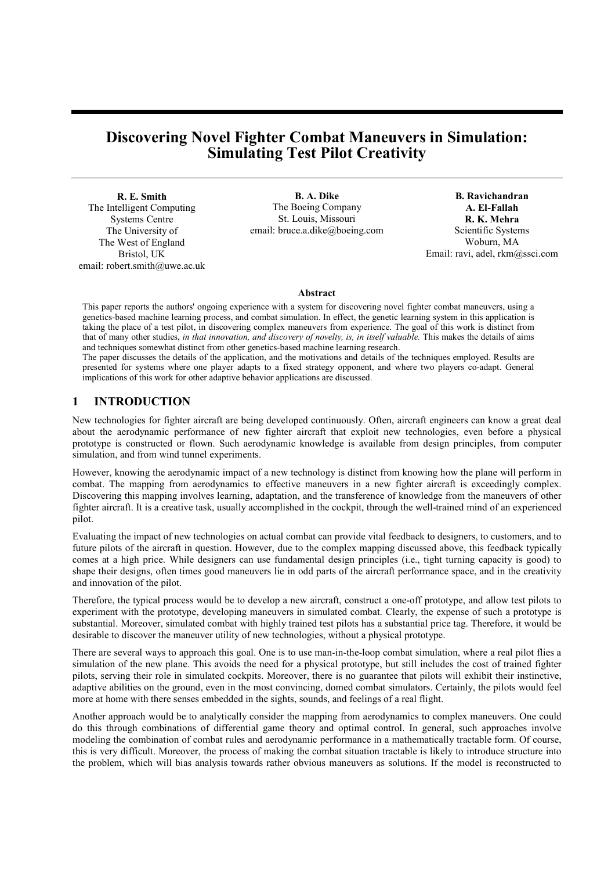# **Discovering Novel Fighter Combat Maneuvers in Simulation: Simulating Test Pilot Creativity**

R. E. Smith The Intelligent Computing **Systems Centre** The University of The West of England Bristol, UK email: robert.smith@uwe.ac.uk

**B. A. Dike** The Boeing Company St. Louis, Missouri email: bruce.a.dike@boeing.com

**B.** Ravichandran A. El-Fallah R. K. Mehra Scientific Systems Woburn, MA Email: ravi, adel, rkm@ssci.com

### **A** hetract

This paper reports the authors' ongoing experience with a system for discovering novel fighter combat maneuvers, using a genetics-based machine learning process, and combat simulation. In effect, the genetic learning system in this application is taking the place of a test pilot, in discovering complex maneuvers from experience. The goal of this work is distinct from that of many other studies, in that innovation, and discovery of novelty, is, in itself valuable. This makes the details of aims and techniques somewhat distinct from other genetics-based machine learning research.

The paper discusses the details of the application, and the motivations and details of the techniques employed. Results are presented for systems where one player adapts to a fixed strategy opponent, and where two players co-adapt. General implications of this work for other adaptive behavior applications are discussed.

#### $\mathbf{1}$ **INTRODUCTION**

New technologies for fighter aircraft are being developed continuously. Often, aircraft engineers can know a great deal about the aerodynamic performance of new fighter aircraft that exploit new technologies, even before a physical prototype is constructed or flown. Such aerodynamic knowledge is available from design principles, from computer simulation, and from wind tunnel experiments.

However, knowing the aerodynamic impact of a new technology is distinct from knowing how the plane will perform in combat. The mapping from aerodynamics to effective maneuvers in a new fighter aircraft is exceedingly complex. Discovering this mapping involves learning, adaptation, and the transference of knowledge from the maneuvers of other fighter aircraft. It is a creative task, usually accomplished in the cockpit, through the well-trained mind of an experienced pilot.

Evaluating the impact of new technologies on actual combat can provide vital feedback to designers, to customers, and to future pilots of the aircraft in question. However, due to the complex mapping discussed above, this feedback typically comes at a high price. While designers can use fundamental design principles (i.e., tight turning capacity is good) to shape their designs, often times good maneuvers lie in odd parts of the aircraft performance space, and in the creativity and innovation of the pilot.

Therefore, the typical process would be to develop a new aircraft, construct a one-off prototype, and allow test pilots to experiment with the prototype, developing maneuvers in simulated combat. Clearly, the expense of such a prototype is substantial. Moreover, simulated combat with highly trained test pilots has a substantial price tag. Therefore, it would be desirable to discover the maneuver utility of new technologies, without a physical prototype.

There are several ways to approach this goal. One is to use man-in-the-loop combat simulation, where a real pilot flies a simulation of the new plane. This avoids the need for a physical prototype, but still includes the cost of trained fighter pilots, serving their role in simulated cockpits. Moreover, there is no guarantee that pilots will exhibit their instinctive, adaptive abilities on the ground, even in the most convincing, domed combat simulators. Certainly, the pilots would feel more at home with there senses embedded in the sights, sounds, and feelings of a real flight.

Another approach would be to analytically consider the mapping from aerodynamics to complex maneuvers. One could do this through combinations of differential game theory and optimal control. In general, such approaches involve modeling the combination of combat rules and aerodynamic performance in a mathematically tractable form. Of course, this is very difficult. Moreover, the process of making the combat situation tractable is likely to introduce structure into the problem, which will bias analysis towards rather obvious maneuvers as solutions. If the model is reconstructed to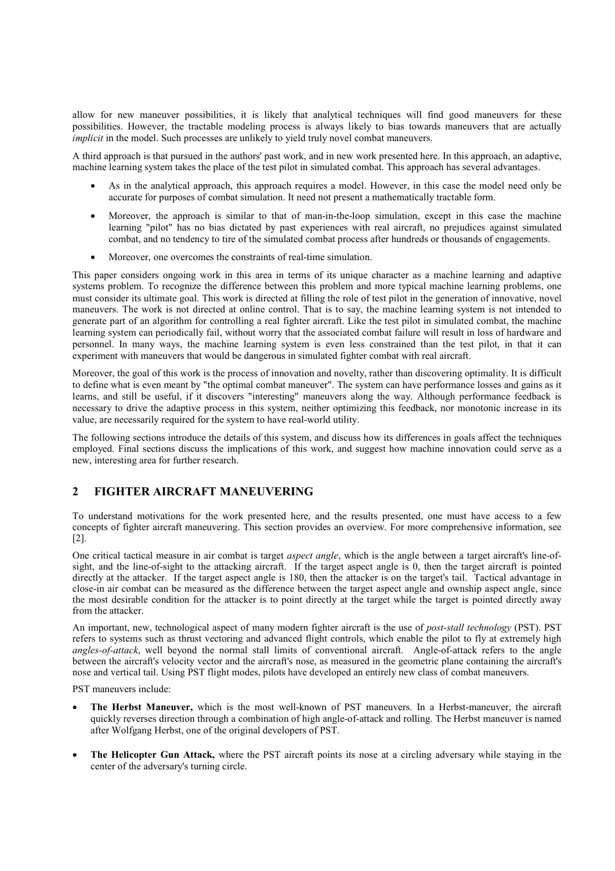allow for new maneuver possibilities, it is likely that analytical techniques will find good maneuvers for these possibilities. However, the tractable modeling process is always likely to bias towards maneuvers that are actually *implicit* in the model. Such processes are unlikely to yield truly novel combat maneuvers.

A third approach is that pursued in the authors' past work, and in new work presented here. In this approach, an adaptive, machine learning system takes the place of the test pilot in simulated combat. This approach has several advantages.

- As in the analytical approach, this approach requires a model. However, in this case the model need only be accurate for purposes of combat simulation. It need not present a mathematically tractable form.
- Moreover, the approach is similar to that of man-in-the-loop simulation, except in this case the machine learning "pilot" has no bias dictated by past experiences with real aircraft, no prejudices against simulated combat, and no tendency to tire of the simulated combat process after hundreds or thousands of engagements.
- Moreover, one overcomes the constraints of real-time simulation.  $\bullet$

This paper considers ongoing work in this area in terms of its unique character as a machine learning and adaptive systems problem. To recognize the difference between this problem and more typical machine learning problems, one must consider its ultimate goal. This work is directed at filling the role of test pilot in the generation of innovative, novel maneuvers. The work is not directed at online control. That is to say, the machine learning system is not intended to generate part of an algorithm for controlling a real fighter aircraft. Like the test pilot in simulated combat, the machine learning system can periodically fail, without worry that the associated combat failure will result in loss of hardware and personnel. In many ways, the machine learning system is even less constrained than the test pilot, in that it can experiment with maneuvers that would be dangerous in simulated fighter combat with real aircraft.

Moreover, the goal of this work is the process of innovation and novelty, rather than discovering optimality. It is difficult to define what is even meant by "the optimal combat maneuver". The system can have performance losses and gains as it learns, and still be useful, if it discovers "interesting" maneuvers along the way. Although performance feedback is necessary to drive the adaptive process in this system, neither optimizing this feedback, nor monotonic increase in its value, are necessarily required for the system to have real-world utility.

The following sections introduce the details of this system, and discuss how its differences in goals affect the techniques employed. Final sections discuss the implications of this work, and suggest how machine innovation could serve as a new, interesting area for further research.

#### $\overline{2}$ FIGHTER AIRCRAFT MANEUVERING

To understand motivations for the work presented here, and the results presented, one must have access to a few concepts of fighter aircraft maneuvering. This section provides an overview. For more comprehensive information, see  $\lceil 2 \rceil$ .

One critical tactical measure in air combat is target *aspect angle*, which is the angle between a target aircraft's line-ofsight, and the line-of-sight to the attacking aircraft. If the target aspect angle is 0, then the target aircraft is pointed directly at the attacker. If the target aspect angle is 180, then the attacker is on the target's tail. Tactical advantage in close-in air combat can be measured as the difference between the target aspect angle and ownship aspect angle, since the most desirable condition for the attacker is to point directly at the target while the target is pointed directly away from the attacker.

An important, new, technological aspect of many modern fighter aircraft is the use of post-stall technology (PST). PST refers to systems such as thrust vectoring and advanced flight controls, which enable the pilot to fly at extremely high angles-of-attack, well beyond the normal stall limits of conventional aircraft. Angle-of-attack refers to the angle between the aircraft's velocity vector and the aircraft's nose, as measured in the geometric plane containing the aircraft's nose and vertical tail. Using PST flight modes, pilots have developed an entirely new class of combat maneuvers.

PST maneuvers include:

- The Herbst Maneuver, which is the most well-known of PST maneuvers. In a Herbst-maneuver, the aircraft quickly reverses direction through a combination of high angle-of-attack and rolling. The Herbst maneuver is named after Wolfgang Herbst, one of the original developers of PST.
- The Helicopter Gun Attack, where the PST aircraft points its nose at a circling adversary while staving in the center of the adversary's turning circle.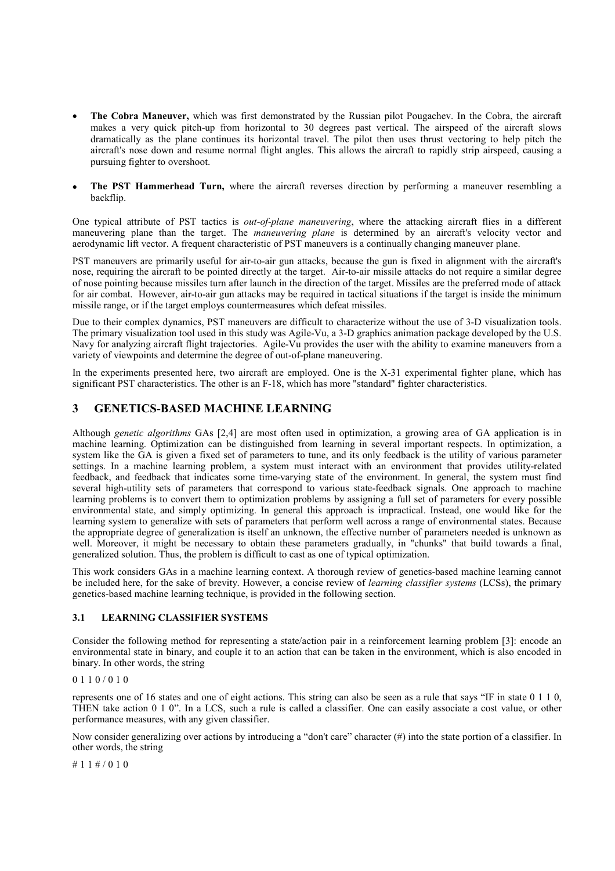- The Cobra Maneuver, which was first demonstrated by the Russian pilot Pougachev. In the Cobra, the aircraft makes a very quick pitch-up from horizontal to 30 degrees past vertical. The airspeed of the aircraft slows dramatically as the plane continues its horizontal travel. The pilot then uses thrust vectoring to help pitch the aircraft's nose down and resume normal flight angles. This allows the aircraft to rapidly strip airspeed, causing a pursuing fighter to overshoot.
- The PST Hammerhead Turn, where the aircraft reverses direction by performing a maneuver resembling a backflip.

One typical attribute of PST tactics is *out-of-plane maneuvering*, where the attacking aircraft flies in a different maneuvering plane than the target. The maneuvering plane is determined by an aircraft's velocity vector and aerodynamic lift vector. A frequent characteristic of PST maneuvers is a continually changing maneuver plane.

PST maneuvers are primarily useful for air-to-air gun attacks, because the gun is fixed in alignment with the aircraft's nose, requiring the aircraft to be pointed directly at the target. Air-to-air missile attacks do not require a similar degree of nose pointing because missiles turn after launch in the direction of the target. Missiles are the preferred mode of attack for air combat. However, air-to-air gun attacks may be required in tactical situations if the target is inside the minimum missile range, or if the target employs countermeasures which defeat missiles.

Due to their complex dynamics. PST maneuvers are difficult to characterize without the use of 3-D visualization tools. The primary visualization tool used in this study was Agile-Vu, a 3-D graphics animation package developed by the U.S. Navy for analyzing aircraft flight trajectories. Agile-Vu provides the user with the ability to examine maneuvers from a variety of viewpoints and determine the degree of out-of-plane maneuvering.

In the experiments presented here, two aircraft are employed. One is the X-31 experimental fighter plane, which has significant PST characteristics. The other is an F-18, which has more "standard" fighter characteristics.

#### 3 **GENETICS-BASED MACHINE LEARNING**

Although genetic algorithms GAs [2,4] are most often used in optimization, a growing area of GA application is in machine learning. Optimization can be distinguished from learning in several important respects. In optimization, a system like the GA is given a fixed set of parameters to tune, and its only feedback is the utility of various parameter settings. In a machine learning problem, a system must interact with an environment that provides utility-related feedback, and feedback that indicates some time-varying state of the environment. In general, the system must find several high-utility sets of parameters that correspond to various state-feedback signals. One approach to machine learning problems is to convert them to optimization problems by assigning a full set of parameters for every possible environmental state, and simply optimizing. In general this approach is impractical. Instead, one would like for the learning system to generalize with sets of parameters that perform well across a range of environmental states. Because the appropriate degree of generalization is itself an unknown, the effective number of parameters needed is unknown as well. Moreover, it might be necessary to obtain these parameters gradually, in "chunks" that build towards a final, generalized solution. Thus, the problem is difficult to cast as one of typical optimization.

This work considers GAs in a machine learning context. A thorough review of genetics-based machine learning cannot be included here, for the sake of brevity. However, a concise review of learning classifier systems (LCSs), the primary genetics-based machine learning technique, is provided in the following section.

#### **LEARNING CLASSIFIER SYSTEMS**  $3.1$

Consider the following method for representing a state/action pair in a reinforcement learning problem [3]; encode an environmental state in binary, and couple it to an action that can be taken in the environment, which is also encoded in binary. In other words, the string

### $0110/010$

represents one of 16 states and one of eight actions. This string can also be seen as a rule that says "IF in state 0 1 1 0. THEN take action 0 1 0". In a LCS, such a rule is called a classifier. One can easily associate a cost value, or other performance measures, with any given classifier.

Now consider generalizing over actions by introducing a "don't care" character  $(\#)$  into the state portion of a classifier. In other words, the string

# 1 1 # / 0 1 0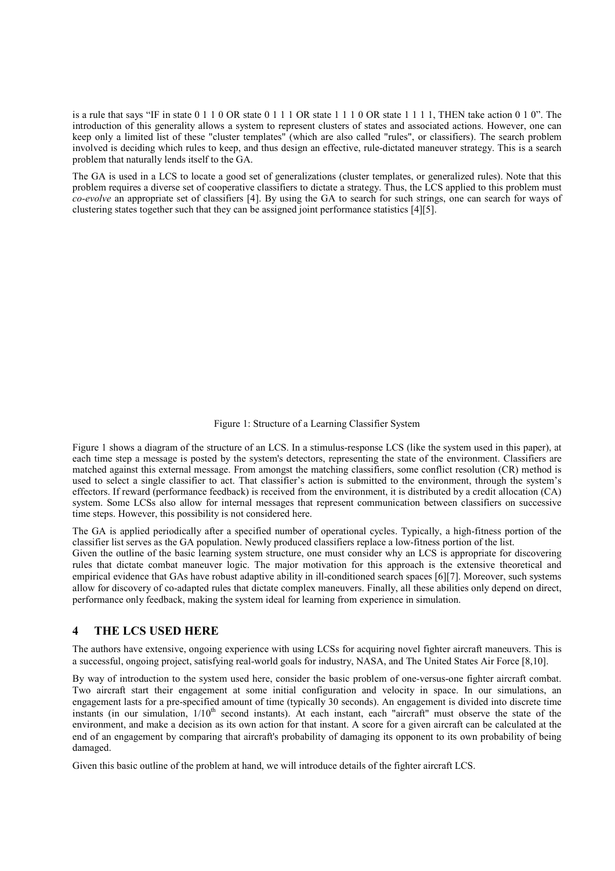is a rule that says "IF in state  $0 1 1 0$  OR state  $0 1 1 1 0$ R state  $1 1 1 0$  OR state  $1 1 1 1$ , THEN take action  $0 1 0$ ". The introduction of this generality allows a system to represent clusters of states and associated actions. However, one can keep only a limited list of these "cluster templates" (which are also called "rules", or classifiers). The search problem involved is deciding which rules to keep, and thus design an effective, rule-dictated maneuver strategy. This is a search problem that naturally lends itself to the GA.

The GA is used in a LCS to locate a good set of generalizations (cluster templates, or generalized rules). Note that this problem requires a diverse set of cooperative classifiers to dictate a strategy. Thus, the LCS applied to this problem must co-evolve an appropriate set of classifiers [4]. By using the GA to search for such strings, one can search for ways of clustering states together such that they can be assigned joint performance statistics [4][5].

Figure 1: Structure of a Learning Classifier System

Figure 1 shows a diagram of the structure of an LCS. In a stimulus-response LCS (like the system used in this paper), at each time step a message is posted by the system's detectors, representing the state of the environment. Classifiers are matched against this external message. From amongst the matching classifiers, some conflict resolution (CR) method is used to select a single classifier to act. That classifier's action is submitted to the environment, through the system's effectors. If reward (performance feedback) is received from the environment, it is distributed by a credit allocation (CA) system. Some LCSs also allow for internal messages that represent communication between classifiers on successive time steps. However, this possibility is not considered here.

The GA is applied periodically after a specified number of operational cycles. Typically, a high-fitness portion of the classifier list serves as the GA population. Newly produced classifiers replace a low-fitness portion of the list. Given the outline of the basic learning system structure, one must consider why an LCS is appropriate for discovering rules that dictate combat maneuver logic. The major motivation for this approach is the extensive theoretical and empirical evidence that GAs have robust adaptive ability in ill-conditioned search spaces [6][7]. Moreover, such systems allow for discovery of co-adapted rules that dictate complex maneuvers. Finally, all these abilities only depend on direct, performance only feedback, making the system ideal for learning from experience in simulation.

#### $\boldsymbol{\Lambda}$ **THE LCS USED HERE**

The authors have extensive, ongoing experience with using LCSs for acquiring novel fighter aircraft maneuvers. This is a successful, ongoing project, satisfying real-world goals for industry, NASA, and The United States Air Force [8,10].

By way of introduction to the system used here, consider the basic problem of one-versus-one fighter aircraft combat. Two aircraft start their engagement at some initial configuration and velocity in space. In our simulations, an engagement lasts for a pre-specified amount of time (typically 30 seconds). An engagement is divided into discrete time instants (in our simulation, 1/10<sup>th</sup> second instants). At each instant, each "aircraft" must observe the state of the environment, and make a decision as its own action for that instant. A score for a given aircraft can be calculated at the end of an engagement by comparing that aircraft's probability of damaging its opponent to its own probability of being damaged.

Given this basic outline of the problem at hand, we will introduce details of the fighter aircraft LCS.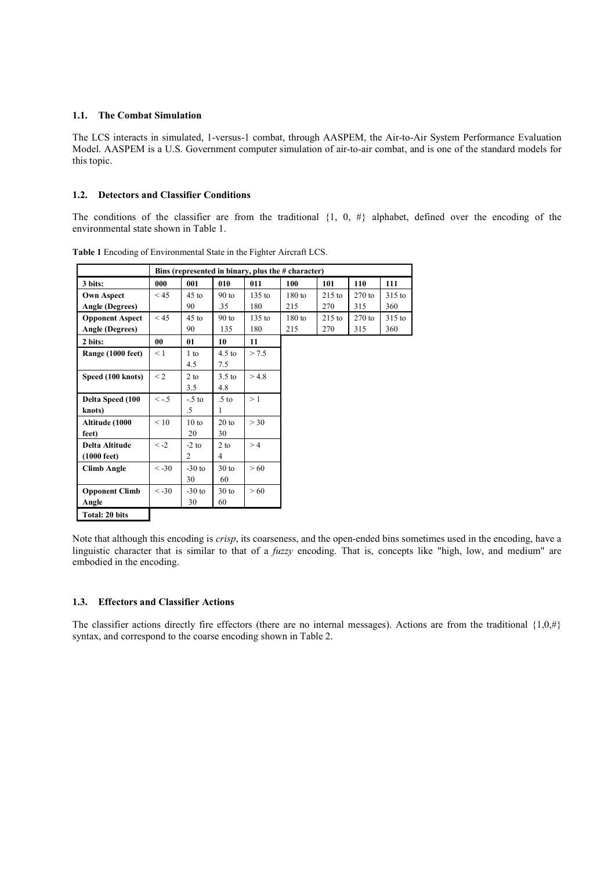### 1.1. The Combat Simulation

The LCS interacts in simulated, 1-versus-1 combat, through AASPEM, the Air-to-Air System Performance Evaluation Model. AASPEM is a U.S. Government computer simulation of air-to-air combat, and is one of the standard models for this topic.

#### $1.2.$ **Detectors and Classifier Conditions**

The conditions of the classifier are from the traditional  $\{1, 0, \# \}$  alphabet, defined over the encoding of the environmental state shown in Table 1.

|                        | Bins (represented in binary, plus the # character) |                |                  |          |          |          |          |          |  |  |
|------------------------|----------------------------------------------------|----------------|------------------|----------|----------|----------|----------|----------|--|--|
| 3 bits:                | 000                                                | 001            | 010              | 011      | 100      | 101      | 110      | 111      |  |  |
| <b>Own Aspect</b>      | < 45                                               | $45$ to        | $90$ to          | $135$ to | $180$ to | $215$ to | $270$ to | $315$ to |  |  |
| Angle (Degrees)        |                                                    | 90             | .35              | 180      | 215      | 270      | 315      | 360      |  |  |
| <b>Opponent Aspect</b> | < 45                                               | $45$ to        | $90$ to          | $135$ to | $180$ to | $215$ to | $270$ to | $315$ to |  |  |
| <b>Angle (Degrees)</b> |                                                    | 90             | 135              | 180      | 215      | 270      | 315      | 360      |  |  |
| 2 bits:                | 00 <sup>1</sup>                                    | 01             | 10               | 11       |          |          |          |          |  |  |
| Range (1000 feet)      | $\leq 1$                                           | $1$ to         | $4.5$ to         | > 7.5    |          |          |          |          |  |  |
|                        |                                                    | 4.5            | 7.5              |          |          |          |          |          |  |  |
| Speed (100 knots)      | $\leq$ 2                                           | $2$ to         | $3.5 \text{ to}$ | > 4.8    |          |          |          |          |  |  |
|                        |                                                    | 3.5            | 4.8              |          |          |          |          |          |  |  |
| Delta Speed (100       | $< -5$                                             | $-5$ to        | $.5$ to          | >1       |          |          |          |          |  |  |
| knots)                 |                                                    | .5             | 1                |          |          |          |          |          |  |  |
| Altitude (1000         | < 10                                               | 10 to          | $20$ to          | > 30     |          |          |          |          |  |  |
| feet)                  |                                                    | 20             | 30               |          |          |          |          |          |  |  |
| <b>Delta Altitude</b>  | $\leq -2$                                          | $-2$ to        | $2$ to           | >4       |          |          |          |          |  |  |
| $(1000 \text{ feet})$  |                                                    | $\overline{c}$ | $\overline{4}$   |          |          |          |          |          |  |  |
| <b>Climb Angle</b>     | $\leq -30$                                         | $-30$ to       | $30$ to          | > 60     |          |          |          |          |  |  |
|                        |                                                    | 30             | 60               |          |          |          |          |          |  |  |
| <b>Opponent Climb</b>  | $\leq -30$                                         | $-30$ to       | $30$ to          | >60      |          |          |          |          |  |  |
| Angle                  |                                                    | 30             | 60               |          |          |          |          |          |  |  |
| Total: 20 bits         |                                                    |                |                  |          |          |          |          |          |  |  |

Table 1 Encoding of Environmental State in the Fighter Aircraft LCS.

Note that although this encoding is *crisp*, its coarseness, and the open-ended bins sometimes used in the encoding, have a linguistic character that is similar to that of a  $fuzzy$  encoding. That is, concepts like "high, low, and medium" are embodied in the encoding.

### 1.3. Effectors and Classifier Actions

The classifier actions directly fire effectors (there are no internal messages). Actions are from the traditional  $\{1,0,\# \}$ syntax, and correspond to the coarse encoding shown in Table 2.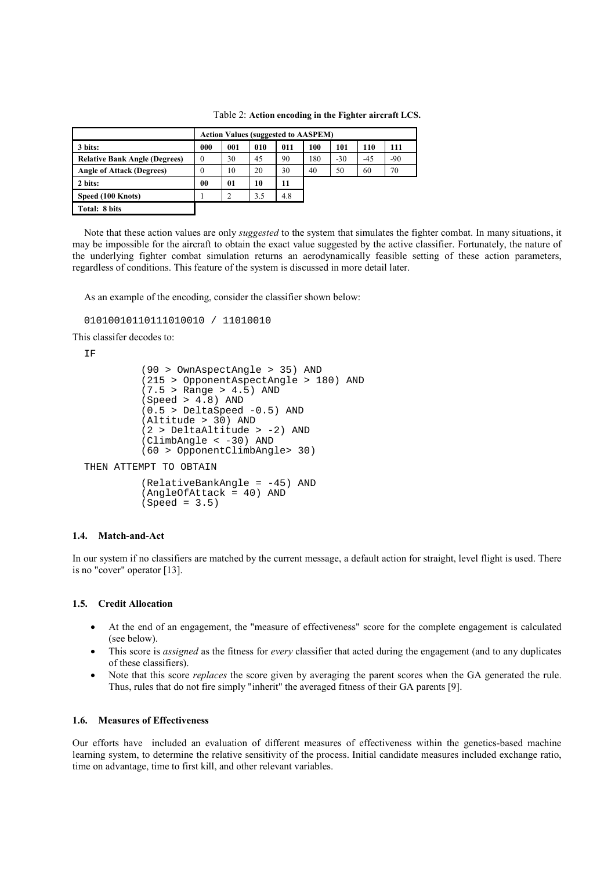|                                      | <b>Action Values (suggested to AASPEM)</b> |     |     |     |     |       |       |       |  |  |
|--------------------------------------|--------------------------------------------|-----|-----|-----|-----|-------|-------|-------|--|--|
| 3 bits:                              | 000                                        | 001 | 010 | 011 | 100 | 101   | 110   | 111   |  |  |
| <b>Relative Bank Angle (Degrees)</b> | $\theta$                                   | 30  | 45  | 90  | 180 | $-30$ | $-45$ | $-90$ |  |  |
| <b>Angle of Attack (Degrees)</b>     | 0                                          | 10  | 20  | 30  | 40  | 50    | 60    | 70    |  |  |
| 2 bits:                              | 00                                         | 01  | 10  | 11  |     |       |       |       |  |  |
| Speed (100 Knots)                    |                                            |     | 3.5 | 4.8 |     |       |       |       |  |  |
| Total: 8 bits                        |                                            |     |     |     |     |       |       |       |  |  |

Table 2: Action encoding in the Fighter aircraft LCS.

Note that these action values are only *suggested* to the system that simulates the fighter combat. In many situations, it may be impossible for the aircraft to obtain the exact value suggested by the active classifier. Fortunately, the nature of the underlying fighter combat simulation returns an aerodynamically feasible setting of these action parameters, regardless of conditions. This feature of the system is discussed in more detail later.

As an example of the encoding, consider the classifier shown below:

01010010110111010010 / 11010010

This classifer decodes to:

IF

```
(90 > OwnAspectAngle > 35) AND
         (215 > OpponentAspectAngle > 180) AND
         (7.5 > \text{Range} > 4.5) AND
         (Speed > 4.8) AND
         (0.5 > DeltaSpeed -0.5) AND
         (Altitude > 30) AND
         (2 > DeltaAltitude > -2) AND
         (ClimbAngle < -30) AND
         (60 > OpponentClimbAngle> 30)
THEN ATTEMPT TO OBTAIN
         (RelativeBankAngle = -45) AND
         (AngleOfAttack = 40) AND
         (Speed = 3.5)
```
### 1.4. Match-and-Act

In our system if no classifiers are matched by the current message, a default action for straight, level flight is used. There is no "cover" operator [13].

### 1.5. Credit Allocation

- At the end of an engagement, the "measure of effectiveness" score for the complete engagement is calculated (see below).
- This score is *assigned* as the fitness for *every* classifier that acted during the engagement (and to any duplicates of these classifiers).
- Note that this score *replaces* the score given by averaging the parent scores when the GA generated the rule. Thus, rules that do not fire simply "inherit" the averaged fitness of their GA parents [9].

### 1.6. Measures of Effectiveness

Our efforts have included an evaluation of different measures of effectiveness within the genetics-based machine learning system, to determine the relative sensitivity of the process. Initial candidate measures included exchange ratio, time on advantage, time to first kill, and other relevant variables.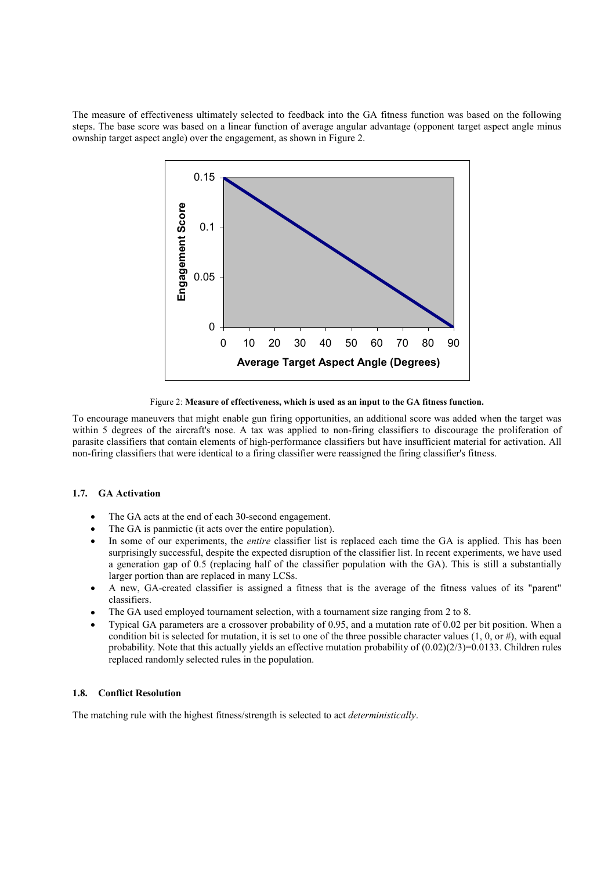The measure of effectiveness ultimately selected to feedback into the GA fitness function was based on the following steps. The base score was based on a linear function of average angular advantage (opponent target aspect angle minus ownship target aspect angle) over the engagement, as shown in Figure 2.



Figure 2: Measure of effectiveness, which is used as an input to the GA fitness function.

To encourage maneuvers that might enable gun firing opportunities, an additional score was added when the target was within 5 degrees of the aircraft's nose. A tax was applied to non-firing classifiers to discourage the proliferation of parasite classifiers that contain elements of high-performance classifiers but have insufficient material for activation. All non-firing classifiers that were identical to a firing classifier were reassigned the firing classifier's fitness.

### 1.7. GA Activation

- The GA acts at the end of each 30-second engagement.
- The GA is panmictic (it acts over the entire population).
- In some of our experiments, the *entire* classifier list is replaced each time the GA is applied. This has been surprisingly successful, despite the expected disruption of the classifier list. In recent experiments, we have used a generation gap of 0.5 (replacing half of the classifier population with the GA). This is still a substantially larger portion than are replaced in many LCSs.
- A new, GA-created classifier is assigned a fitness that is the average of the fitness values of its "parent" classifiers.
- The GA used employed tournament selection, with a tournament size ranging from 2 to 8.
- Typical GA parameters are a crossover probability of 0.95, and a mutation rate of 0.02 per bit position. When a condition bit is selected for mutation, it is set to one of the three possible character values  $(1, 0, \text{or } \#)$ , with equal probability. Note that this actually yields an effective mutation probability of  $(0.02)(2/3)=0.0133$ . Children rules replaced randomly selected rules in the population.

### 1.8. Conflict Resolution

The matching rule with the highest fitness/strength is selected to act *deterministically*.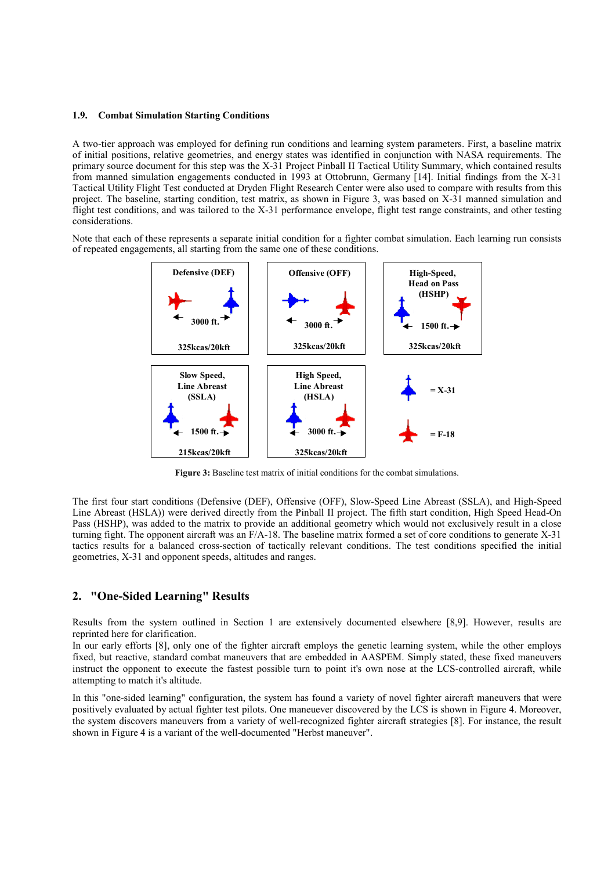### 1.9. Combat Simulation Starting Conditions

A two-tier approach was employed for defining run conditions and learning system parameters. First, a baseline matrix of initial positions, relative geometries, and energy states was identified in conjunction with NASA requirements. The primary source document for this step was the X-31 Project Pinball II Tactical Utility Summary, which contained results from manned simulation engagements conducted in 1993 at Ottobrunn, Germany [14]. Initial findings from the X-31 Tactical Utility Flight Test conducted at Dryden Flight Research Center were also used to compare with results from this project. The baseline, starting condition, test matrix, as shown in Figure 3, was based on X-31 manned simulation and flight test conditions, and was tailored to the X-31 performance envelope, flight test range constraints, and other testing considerations.

Note that each of these represents a separate initial condition for a fighter combat simulation. Each learning run consists of repeated engagements, all starting from the same one of these conditions.



Figure 3: Baseline test matrix of initial conditions for the combat simulations.

The first four start conditions (Defensive (DEF), Offensive (OFF), Slow-Speed Line Abreast (SSLA), and High-Speed Line Abreast (HSLA)) were derived directly from the Pinball II project. The fifth start condition, High Speed Head-On Pass (HSHP), was added to the matrix to provide an additional geometry which would not exclusively result in a close turning fight. The opponent aircraft was an F/A-18. The baseline matrix formed a set of core conditions to generate X-31 tactics results for a balanced cross-section of tactically relevant conditions. The test conditions specified the initial geometries, X-31 and opponent speeds, altitudes and ranges.

## 2. "One-Sided Learning" Results

Results from the system outlined in Section 1 are extensively documented elsewhere [8,9]. However, results are reprinted here for clarification.

In our early efforts [8], only one of the fighter aircraft employs the genetic learning system, while the other employs fixed, but reactive, standard combat maneuvers that are embedded in AASPEM. Simply stated, these fixed maneuvers instruct the opponent to execute the fastest possible turn to point it's own nose at the LCS-controlled aircraft, while attempting to match it's altitude.

In this "one-sided learning" configuration, the system has found a variety of novel fighter aircraft maneuvers that were positively evaluated by actual fighter test pilots. One maneuever discovered by the LCS is shown in Figure 4. Moreover, the system discovers maneuvers from a variety of well-recognized fighter aircraft strategies [8]. For instance, the result shown in Figure 4 is a variant of the well-documented "Herbst maneuver".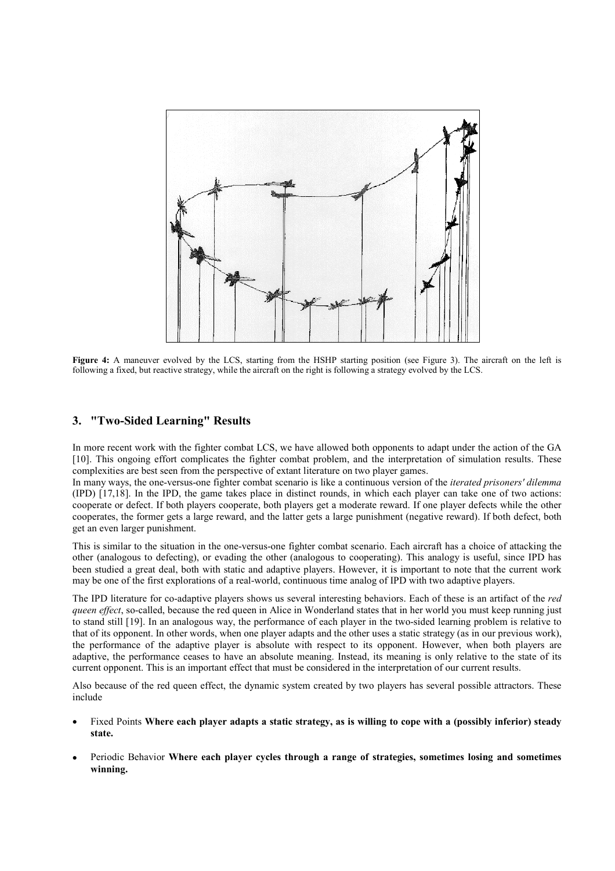

Figure 4: A maneuver evolved by the LCS, starting from the HSHP starting position (see Figure 3). The aircraft on the left is following a fixed, but reactive strategy, while the aircraft on the right is following a strategy evolved by the LCS.

#### "Two-Sided Learning" Results  $3.$

In more recent work with the fighter combat LCS, we have allowed both opponents to adapt under the action of the GA [10]. This ongoing effort complicates the fighter combat problem, and the interpretation of simulation results. These complexities are best seen from the perspective of extant literature on two player games.

In many ways, the one-versus-one fighter combat scenario is like a continuous version of the *iterated prisoners' dilemma* (IPD) [17,18]. In the IPD, the game takes place in distinct rounds, in which each player can take one of two actions: cooperate or defect. If both players cooperate, both players get a moderate reward. If one player defects while the other cooperates, the former gets a large reward, and the latter gets a large punishment (negative reward). If both defect, both get an even larger punishment.

This is similar to the situation in the one-versus-one fighter combat scenario. Each aircraft has a choice of attacking the other (analogous to defecting), or evading the other (analogous to cooperating). This analogy is useful, since IPD has been studied a great deal, both with static and adaptive players. However, it is important to note that the current work may be one of the first explorations of a real-world, continuous time analog of IPD with two adaptive players.

The IPD literature for co-adaptive players shows us several interesting behaviors. Each of these is an artifact of the red queen effect, so-called, because the red queen in Alice in Wonderland states that in her world you must keep running just to stand still [19]. In an analogous way, the performance of each player in the two-sided learning problem is relative to that of its opponent. In other words, when one player adapts and the other uses a static strategy (as in our previous work), the performance of the adaptive player is absolute with respect to its opponent. However, when both players are adaptive, the performance ceases to have an absolute meaning. Instead, its meaning is only relative to the state of its current opponent. This is an important effect that must be considered in the interpretation of our current results.

Also because of the red queen effect, the dynamic system created by two players has several possible attractors. These include

- Fixed Points Where each player adapts a static strategy, as is willing to cope with a (possibly inferior) steady state.
- Periodic Behavior Where each player cycles through a range of strategies, sometimes losing and sometimes winning.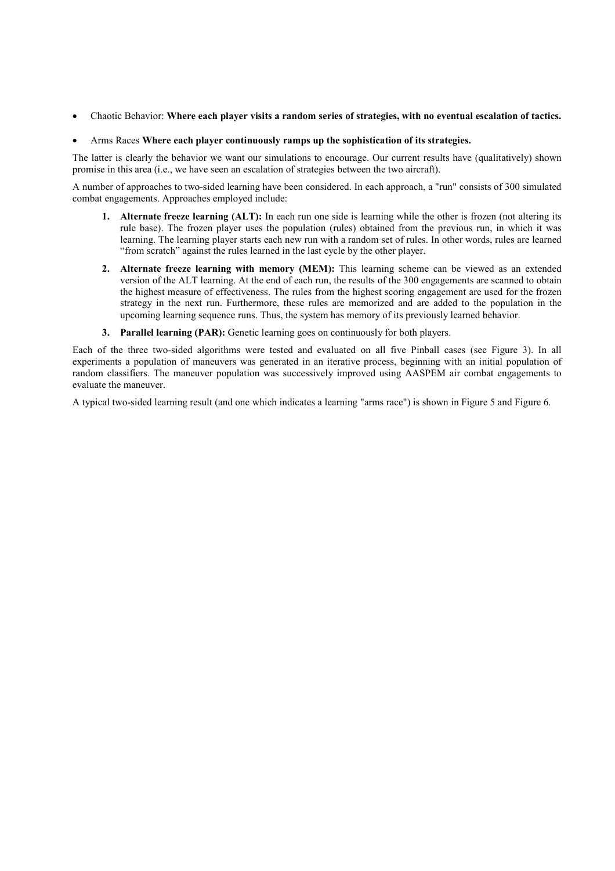- Chaotic Behavior: Where each player visits a random series of strategies, with no eventual escalation of tactics.
- Arms Races Where each player continuously ramps up the sophistication of its strategies.

The latter is clearly the behavior we want our simulations to encourage. Our current results have (qualitatively) shown promise in this area (i.e., we have seen an escalation of strategies between the two aircraft).

A number of approaches to two-sided learning have been considered. In each approach, a "run" consists of 300 simulated combat engagements. Approaches employed include:

- 1. Alternate freeze learning (ALT): In each run one side is learning while the other is frozen (not altering its rule base). The frozen player uses the population (rules) obtained from the previous run, in which it was learning. The learning player starts each new run with a random set of rules. In other words, rules are learned "from scratch" against the rules learned in the last cycle by the other player.
- 2. Alternate freeze learning with memory (MEM): This learning scheme can be viewed as an extended version of the ALT learning. At the end of each run, the results of the 300 engagements are scanned to obtain the highest measure of effectiveness. The rules from the highest scoring engagement are used for the frozen strategy in the next run. Furthermore, these rules are memorized and are added to the population in the upcoming learning sequence runs. Thus, the system has memory of its previously learned behavior.
- 3. Parallel learning (PAR): Genetic learning goes on continuously for both players.

Each of the three two-sided algorithms were tested and evaluated on all five Pinball cases (see Figure 3). In all experiments a population of maneuvers was generated in an iterative process, beginning with an initial population of random classifiers. The maneuver population was successively improved using AASPEM air combat engagements to evaluate the maneuver.

A typical two-sided learning result (and one which indicates a learning "arms race") is shown in Figure 5 and Figure 6.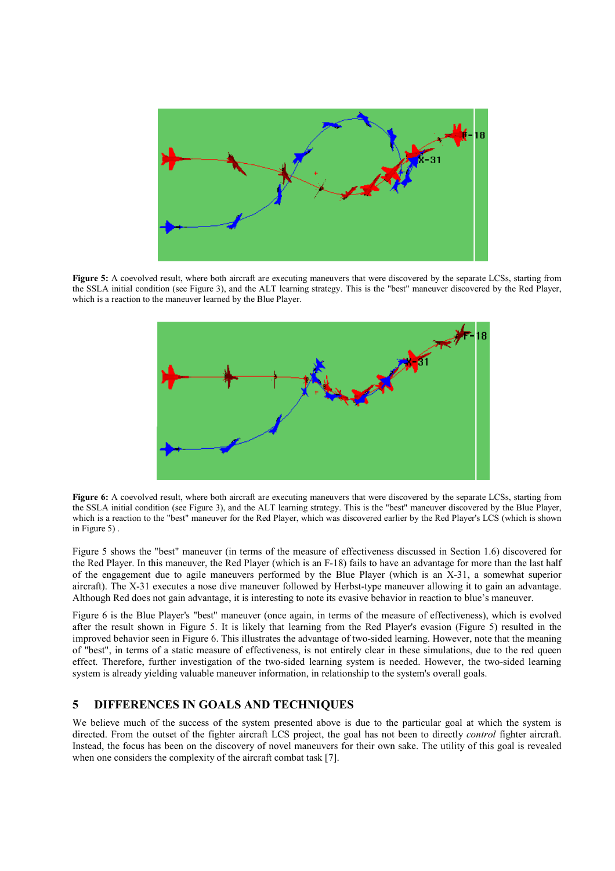

Figure 5: A coevolved result, where both aircraft are executing maneuvers that were discovered by the separate LCSs, starting from the SSLA initial condition (see Figure 3), and the ALT learning strategy. This is the "best" maneuver discovered by the Red Player, which is a reaction to the maneuver learned by the Blue Player.



Figure 6: A coevolved result, where both aircraft are executing maneuvers that were discovered by the separate LCSs, starting from the SSLA initial condition (see Figure 3), and the ALT learning strategy. This is the "best" maneuver discovered by the Blue Player, which is a reaction to the "best" maneuver for the Red Player, which was discovered earlier by the Red Player's LCS (which is shown in Figure  $5$ ).

Figure 5 shows the "best" maneuver (in terms of the measure of effectiveness discussed in Section 1.6) discovered for the Red Player. In this maneuver, the Red Player (which is an F-18) fails to have an advantage for more than the last half of the engagement due to agile maneuvers performed by the Blue Player (which is an X-31, a somewhat superior aircraft). The X-31 executes a nose dive maneuver followed by Herbst-type maneuver allowing it to gain an advantage. Although Red does not gain advantage, it is interesting to note its evasive behavior in reaction to blue's maneuver.

Figure 6 is the Blue Player's "best" maneuver (once again, in terms of the measure of effectiveness), which is evolved after the result shown in Figure 5. It is likely that learning from the Red Player's evasion (Figure 5) resulted in the improved behavior seen in Figure 6. This illustrates the advantage of two-sided learning. However, note that the meaning of "best", in terms of a static measure of effectiveness, is not entirely clear in these simulations, due to the red queen effect. Therefore, further investigation of the two-sided learning system is needed. However, the two-sided learning system is already yielding valuable maneuver information, in relationship to the system's overall goals.

#### 5 DIFFERENCES IN GOALS AND TECHNIQUES

We believe much of the success of the system presented above is due to the particular goal at which the system is directed. From the outset of the fighter aircraft LCS project, the goal has not been to directly *control* fighter aircraft. Instead, the focus has been on the discovery of novel maneuvers for their own sake. The utility of this goal is revealed when one considers the complexity of the aircraft combat task [7].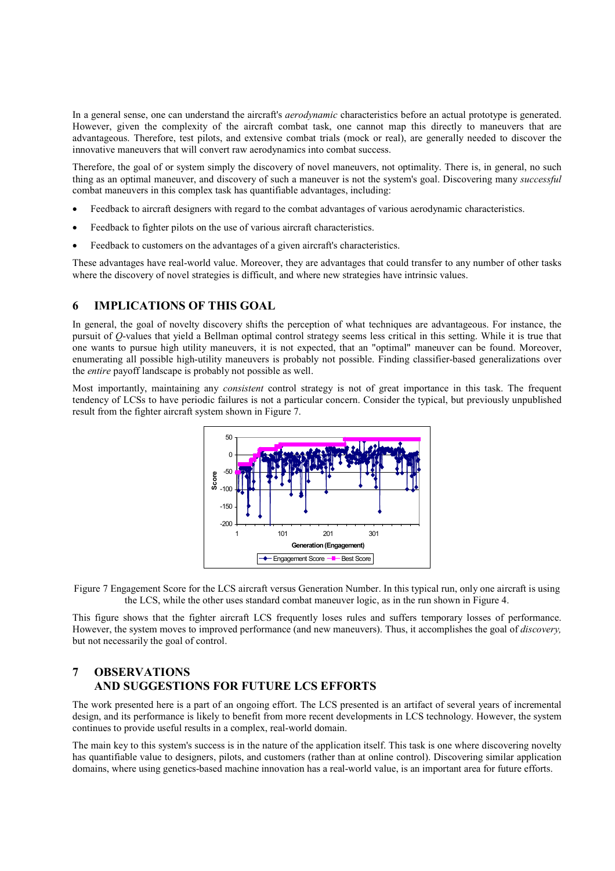In a general sense, one can understand the aircraft's *aerodynamic* characteristics before an actual prototype is generated. However, given the complexity of the aircraft combat task, one cannot map this directly to maneuvers that are advantageous. Therefore, test pilots, and extensive combat trials (mock or real), are generally needed to discover the innovative maneuvers that will convert raw aerodynamics into combat success.

Therefore, the goal of or system simply the discovery of novel maneuvers, not optimality. There is, in general, no such thing as an optimal maneuver, and discovery of such a maneuver is not the system's goal. Discovering many *successful* combat maneuvers in this complex task has quantifiable advantages, including:

- Feedback to aircraft designers with regard to the combat advantages of various aerodynamic characteristics.
- Feedback to fighter pilots on the use of various aircraft characteristics.
- Feedback to customers on the advantages of a given aircraft's characteristics.

These advantages have real-world value. Moreover, they are advantages that could transfer to any number of other tasks where the discovery of novel strategies is difficult, and where new strategies have intrinsic values.

#### **IMPLICATIONS OF THIS GOAL** 6

In general, the goal of novelty discovery shifts the perception of what techniques are advantageous. For instance, the pursuit of O-values that yield a Bellman optimal control strategy seems less critical in this setting. While it is true that one wants to pursue high utility maneuvers, it is not expected, that an "optimal" maneuver can be found. Moreover, enumerating all possible high-utility maneuvers is probably not possible. Finding classifier-based generalizations over the *entire* payoff landscape is probably not possible as well.

Most importantly, maintaining any *consistent* control strategy is not of great importance in this task. The frequent tendency of LCSs to have periodic failures is not a particular concern. Consider the typical, but previously unpublished result from the fighter aircraft system shown in Figure 7.



Figure 7 Engagement Score for the LCS aircraft versus Generation Number. In this typical run, only one aircraft is using the LCS, while the other uses standard combat maneuver logic, as in the run shown in Figure 4.

This figure shows that the fighter aircraft LCS frequently loses rules and suffers temporary losses of performance. However, the system moves to improved performance (and new maneuvers). Thus, it accomplishes the goal of *discovery*, but not necessarily the goal of control.

#### $\overline{7}$ **OBSERVATIONS** AND SUGGESTIONS FOR FUTURE LCS EFFORTS

The work presented here is a part of an ongoing effort. The LCS presented is an artifact of several years of incremental design, and its performance is likely to benefit from more recent developments in LCS technology. However, the system continues to provide useful results in a complex, real-world domain.

The main key to this system's success is in the nature of the application itself. This task is one where discovering novelty has quantifiable value to designers, pilots, and customers (rather than at online control). Discovering similar application domains, where using genetics-based machine innovation has a real-world value, is an important area for future efforts.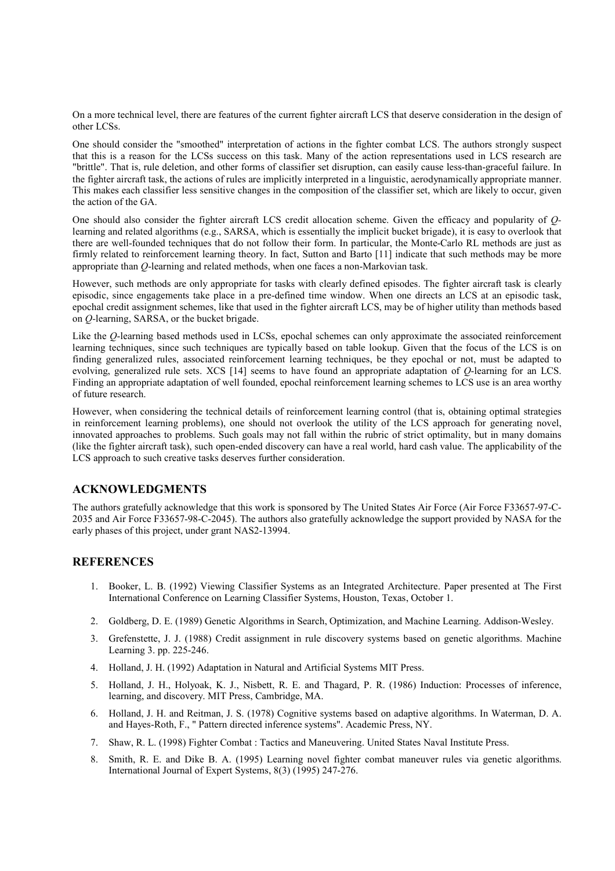On a more technical level, there are features of the current fighter aircraft LCS that deserve consideration in the design of other LCSs.

One should consider the "smoothed" interpretation of actions in the fighter combat LCS. The authors strongly suspect that this is a reason for the LCSs success on this task. Many of the action representations used in LCS research are "brittle". That is, rule deletion, and other forms of classifier set disruption, can easily cause less-than-graceful failure. In the fighter aircraft task, the actions of rules are implicitly interpreted in a linguistic, aerodynamically appropriate manner. This makes each classifier less sensitive changes in the composition of the classifier set, which are likely to occur, given the action of the GA.

One should also consider the fighter aircraft LCS credit allocation scheme. Given the efficacy and popularity of Qlearning and related algorithms (e.g., SARSA, which is essentially the implicit bucket brigade), it is easy to overlook that there are well-founded techniques that do not follow their form. In particular, the Monte-Carlo RL methods are just as firmly related to reinforcement learning theory. In fact, Sutton and Barto [11] indicate that such methods may be more appropriate than *O*-learning and related methods, when one faces a non-Markovian task.

However, such methods are only appropriate for tasks with clearly defined episodes. The fighter aircraft task is clearly episodic, since engagements take place in a pre-defined time window. When one directs an LCS at an episodic task, epochal credit assignment schemes, like that used in the fighter aircraft LCS, may be of higher utility than methods based on O-learning, SARSA, or the bucket brigade.

Like the *Q*-learning based methods used in LCSs, epochal schemes can only approximate the associated reinforcement learning techniques, since such techniques are typically based on table lookup. Given that the focus of the LCS is on finding generalized rules, associated reinforcement learning techniques, be they epochal or not, must be adapted to evolving, generalized rule sets. XCS [14] seems to have found an appropriate adaptation of *O*-learning for an LCS. Finding an appropriate adaptation of well founded, epochal reinforcement learning schemes to LCS use is an area worthy of future research.

However, when considering the technical details of reinforcement learning control (that is, obtaining optimal strategies in reinforcement learning problems), one should not overlook the utility of the LCS approach for generating novel, innovated approaches to problems. Such goals may not fall within the rubric of strict optimality, but in many domains (like the fighter aircraft task), such open-ended discovery can have a real world, hard cash value. The applicability of the LCS approach to such creative tasks deserves further consideration.

# **ACKNOWLEDGMENTS**

The authors gratefully acknowledge that this work is sponsored by The United States Air Force (Air Force F33657-97-C-2035 and Air Force F33657-98-C-2045). The authors also gratefully acknowledge the support provided by NASA for the early phases of this project, under grant NAS2-13994.

# **REFERENCES**

- 1. Booker, L. B. (1992) Viewing Classifier Systems as an Integrated Architecture. Paper presented at The First International Conference on Learning Classifier Systems, Houston, Texas, October 1.
- 2. Goldberg, D. E. (1989) Genetic Algorithms in Search, Optimization, and Machine Learning, Addison-Wesley.
- 3. Grefenstette, J. J. (1988) Credit assignment in rule discovery systems based on genetic algorithms. Machine Learning 3. pp. 225-246.
- 4. Holland, J. H. (1992) Adaptation in Natural and Artificial Systems MIT Press.
- 5. Holland, J. H., Holyoak, K. J., Nisbett, R. E. and Thagard, P. R. (1986) Induction: Processes of inference, learning, and discovery. MIT Press, Cambridge, MA.
- 6. Holland, J. H. and Reitman, J. S. (1978) Cognitive systems based on adaptive algorithms. In Waterman, D. A. and Hayes-Roth, F., " Pattern directed inference systems". Academic Press, NY.
- 7. Shaw, R. L. (1998) Fighter Combat : Tactics and Maneuvering. United States Naval Institute Press.
- 8. Smith, R. E. and Dike B. A. (1995) Learning novel fighter combat maneuver rules via genetic algorithms. International Journal of Expert Systems, 8(3) (1995) 247-276.